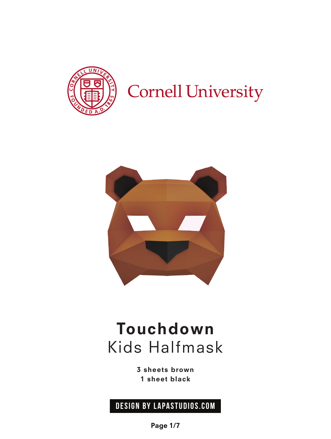

## **Cornell University**



### Touchdown Kids Halfmask

3 sheets brown 1 sheet black

### **design by Lapastudios.com**

Page 1/7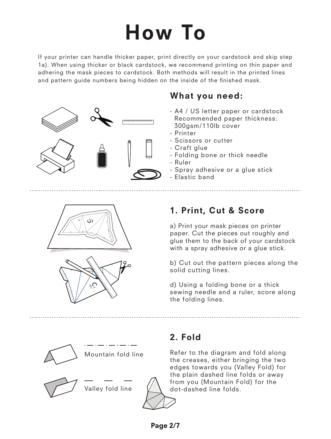# How To

If your printer can handle thicker paper, print directly on your cardstock and skip step 1a). When using thicker or black cardstock, we recommend printing on thin paper and adhering the mask pieces to cardstock. Both methods will result in the printed lines and pattern guide numbers being hidden on the inside of the finished mask.



### What you need:

- A4 / US letter paper or cardstock Recommended paper thickness: 300gsm/110lb cover
- Printer
- Scissors or cutter
- Craft glue
- Folding bone or thick needle
- Ruler
- Spray adhesive or a glue stick
- Elastic band





### 1. Print, Cut & Score

a) Print your mask pieces on printer paper. Cut the pieces out roughly and glue them to the back of your cardstock with a spray adhesive or a glue stick.

b) Cut out the pattern pieces along the solid cutting lines.

d) Using a folding bone or a thick sewing needle and a ruler, score along the folding lines.



Mountain fold line

Valley fold line



### 2. Fold

Refer to the diagram and fold along the creases, either bringing the two edges towards you (Valley Fold) for the plain dashed line folds or away from you (Mountain Fold) for the dot-dashed line folds.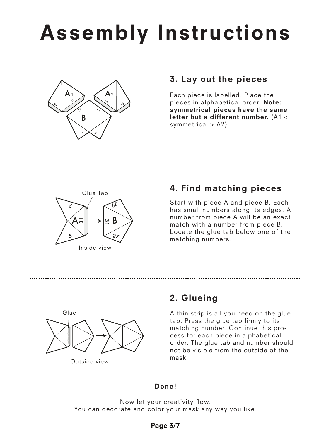# Assembly Instructions



### 3. Lay out the pieces

Each piece is labelled. Place the pieces in alphabetical order. Note: symmetrical pieces have the same letter but a different number. (A1 < symmetrical  $>$  A2).



### 4. Find matching pieces

Start with piece A and piece B. Each has small numbers along its edges. A number from piece A will be an exact match with a number from piece B. Locate the glue tab below one of the matching numbers.



Outside view

### 2. Glueing

A thin strip is all you need on the glue tab. Press the glue tab firmly to its matching number. Continue this process for each piece in alphabetical order. The glue tab and number should not be visible from the outside of the mask.

#### Done!

Now let your creativity flow. You can decorate and color your mask any way you like.

#### Page 3/7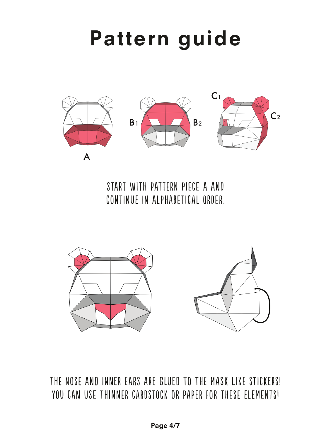## Pattern guide



Start with pattErn pIece a And CONTINUE IN ALPHABETICAL ORDER.



thE nosE and inneR earS are glueD to The mAsk lIke sTickeRs! YOU CAN USE THINNER CARDSTOCK OR PAPER FOR THESE ELEMENTS!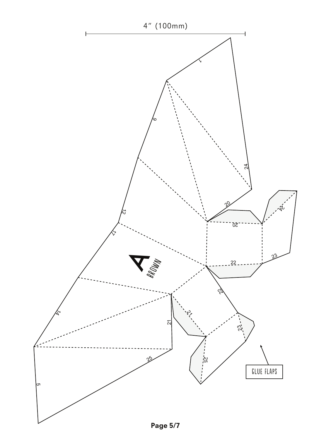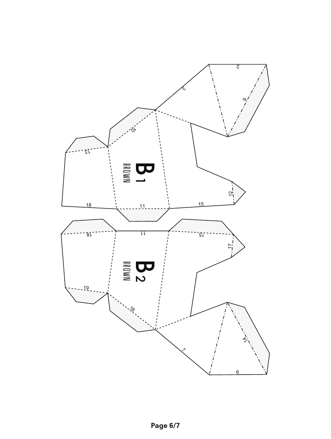